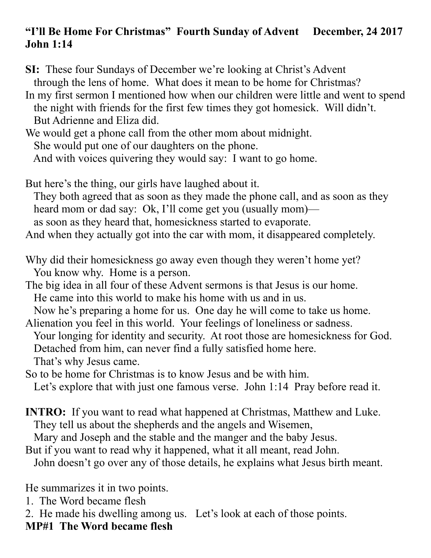## **"I'll Be Home For Christmas" Fourth Sunday of Advent December, 24 2017 John 1:14**

**SI:** These four Sundays of December we're looking at Christ's Advent through the lens of home. What does it mean to be home for Christmas?

In my first sermon I mentioned how when our children were little and went to spend the night with friends for the first few times they got homesick. Will didn't. But Adrienne and Eliza did.

We would get a phone call from the other mom about midnight. She would put one of our daughters on the phone. And with voices quivering they would say: I want to go home.

But here's the thing, our girls have laughed about it. They both agreed that as soon as they made the phone call, and as soon as they heard mom or dad say: Ok, I'll come get you (usually mom) as soon as they heard that, homesickness started to evaporate. And when they actually got into the car with mom, it disappeared completely.

Why did their homesickness go away even though they weren't home yet? You know why. Home is a person.

The big idea in all four of these Advent sermons is that Jesus is our home. He came into this world to make his home with us and in us. Now he's preparing a home for us. One day he will come to take us home.

Alienation you feel in this world. Your feelings of loneliness or sadness. Your longing for identity and security. At root those are homesickness for God. Detached from him, can never find a fully satisfied home here. That's why Jesus came.

So to be home for Christmas is to know Jesus and be with him. Let's explore that with just one famous verse. John 1:14 Pray before read it.

**INTRO:** If you want to read what happened at Christmas, Matthew and Luke. They tell us about the shepherds and the angels and Wisemen,

Mary and Joseph and the stable and the manger and the baby Jesus.

But if you want to read why it happened, what it all meant, read John. John doesn't go over any of those details, he explains what Jesus birth meant.

He summarizes it in two points.

1. The Word became flesh

2. He made his dwelling among us. Let's look at each of those points.

**MP#1 The Word became flesh**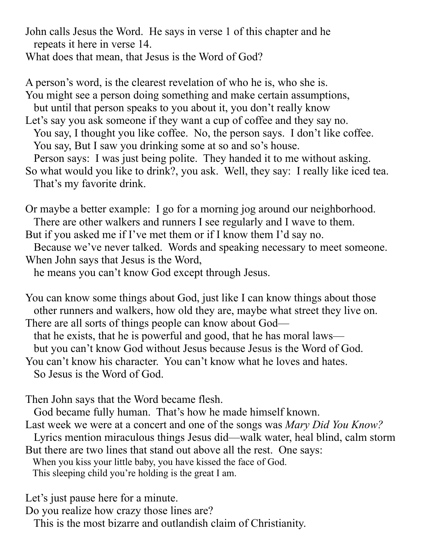John calls Jesus the Word. He says in verse 1 of this chapter and he repeats it here in verse 14.

What does that mean, that Jesus is the Word of God?

A person's word, is the clearest revelation of who he is, who she is. You might see a person doing something and make certain assumptions, but until that person speaks to you about it, you don't really know Let's say you ask someone if they want a cup of coffee and they say no. You say, I thought you like coffee. No, the person says. I don't like coffee. You say, But I saw you drinking some at so and so's house. Person says: I was just being polite. They handed it to me without asking. So what would you like to drink?, you ask. Well, they say: I really like iced tea. That's my favorite drink.

Or maybe a better example: I go for a morning jog around our neighborhood. There are other walkers and runners I see regularly and I wave to them. But if you asked me if I've met them or if I know them I'd say no. Because we've never talked. Words and speaking necessary to meet someone. When John says that Jesus is the Word,

he means you can't know God except through Jesus.

You can know some things about God, just like I can know things about those other runners and walkers, how old they are, maybe what street they live on. There are all sorts of things people can know about God—

that he exists, that he is powerful and good, that he has moral laws—

but you can't know God without Jesus because Jesus is the Word of God.

You can't know his character. You can't know what he loves and hates.

So Jesus is the Word of God.

Then John says that the Word became flesh.

God became fully human. That's how he made himself known.

Last week we were at a concert and one of the songs was *Mary Did You Know?*

 Lyrics mention miraculous things Jesus did—walk water, heal blind, calm storm But there are two lines that stand out above all the rest. One says:

When you kiss your little baby, you have kissed the face of God.

This sleeping child you're holding is the great I am.

Let's just pause here for a minute.

Do you realize how crazy those lines are?

This is the most bizarre and outlandish claim of Christianity.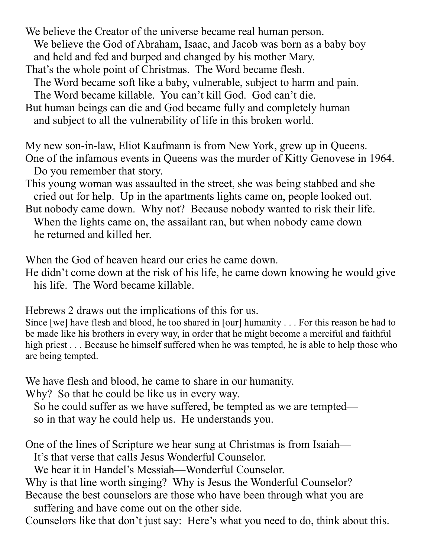We believe the Creator of the universe became real human person. We believe the God of Abraham, Isaac, and Jacob was born as a baby boy and held and fed and burped and changed by his mother Mary. That's the whole point of Christmas. The Word became flesh. The Word became soft like a baby, vulnerable, subject to harm and pain. The Word became killable. You can't kill God. God can't die. But human beings can die and God became fully and completely human

and subject to all the vulnerability of life in this broken world.

My new son-in-law, Eliot Kaufmann is from New York, grew up in Queens. One of the infamous events in Queens was the murder of Kitty Genovese in 1964. Do you remember that story.

This young woman was assaulted in the street, she was being stabbed and she cried out for help. Up in the apartments lights came on, people looked out.

But nobody came down. Why not? Because nobody wanted to risk their life. When the lights came on, the assailant ran, but when nobody came down he returned and killed her.

When the God of heaven heard our cries he came down.

He didn't come down at the risk of his life, he came down knowing he would give his life. The Word became killable.

Hebrews 2 draws out the implications of this for us.

Since [we] have flesh and blood, he too shared in [our] humanity . . . For this reason he had to be made like his brothers in every way, in order that he might become a merciful and faithful high priest . . . Because he himself suffered when he was tempted, he is able to help those who are being tempted.

We have flesh and blood, he came to share in our humanity.

Why? So that he could be like us in every way.

So he could suffer as we have suffered, be tempted as we are tempted so in that way he could help us. He understands you.

One of the lines of Scripture we hear sung at Christmas is from Isaiah— It's that verse that calls Jesus Wonderful Counselor.

We hear it in Handel's Messiah—Wonderful Counselor.

Why is that line worth singing? Why is Jesus the Wonderful Counselor?

Because the best counselors are those who have been through what you are suffering and have come out on the other side.

Counselors like that don't just say: Here's what you need to do, think about this.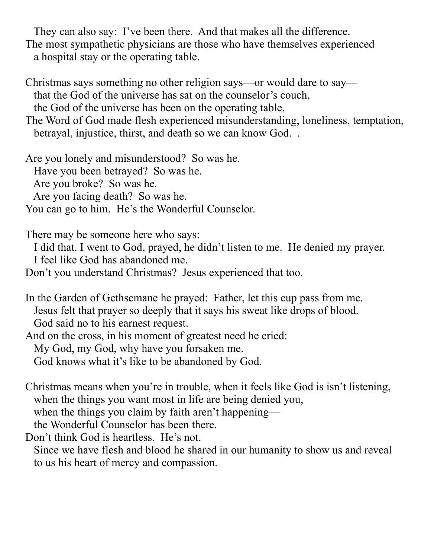They can also say: I've been there. And that makes all the difference. The most sympathetic physicians are those who have themselves experienced a hospital stay or the operating table.

Christmas says something no other religion says—or would dare to say that the God of the universe has sat on the counselor's couch, the God of the universe has been on the operating table.

The Word of God made flesh experienced misunderstanding, loneliness, temptation, betrayal, injustice, thirst, and death so we can know God. .

Are you lonely and misunderstood? So was he. Have you been betrayed? So was he. Are you broke? So was he. Are you facing death? So was he. You can go to him. He's the Wonderful Counselor.

There may be someone here who says:

 I did that. I went to God, prayed, he didn't listen to me. He denied my prayer. I feel like God has abandoned me.

Don't you understand Christmas? Jesus experienced that too.

In the Garden of Gethsemane he prayed: Father, let this cup pass from me. Jesus felt that prayer so deeply that it says his sweat like drops of blood. God said no to his earnest request.

And on the cross, in his moment of greatest need he cried: My God, my God, why have you forsaken me. God knows what it's like to be abandoned by God.

Christmas means when you're in trouble, when it feels like God is isn't listening, when the things you want most in life are being denied you, when the things you claim by faith aren't happening the Wonderful Counselor has been there. Don't think God is heartless. He's not.

 Since we have flesh and blood he shared in our humanity to show us and reveal to us his heart of mercy and compassion.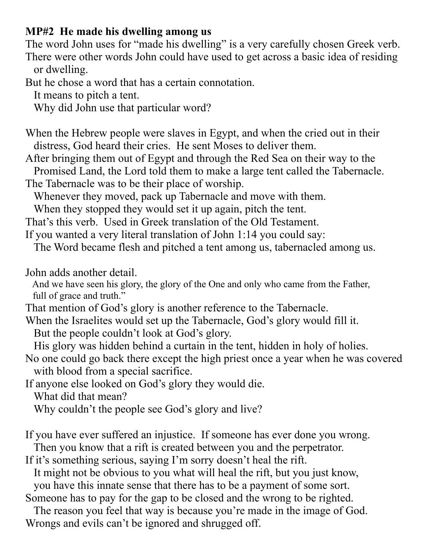## **MP#2 He made his dwelling among us**

The word John uses for "made his dwelling" is a very carefully chosen Greek verb. There were other words John could have used to get across a basic idea of residing or dwelling.

But he chose a word that has a certain connotation.

It means to pitch a tent.

Why did John use that particular word?

When the Hebrew people were slaves in Egypt, and when the cried out in their distress, God heard their cries. He sent Moses to deliver them.

After bringing them out of Egypt and through the Red Sea on their way to the

 Promised Land, the Lord told them to make a large tent called the Tabernacle. The Tabernacle was to be their place of worship.

Whenever they moved, pack up Tabernacle and move with them.

When they stopped they would set it up again, pitch the tent.

That's this verb. Used in Greek translation of the Old Testament.

If you wanted a very literal translation of John 1:14 you could say:

The Word became flesh and pitched a tent among us, tabernacled among us.

John adds another detail.

 And we have seen his glory, the glory of the One and only who came from the Father, full of grace and truth."

That mention of God's glory is another reference to the Tabernacle.

When the Israelites would set up the Tabernacle, God's glory would fill it.

But the people couldn't look at God's glory.

His glory was hidden behind a curtain in the tent, hidden in holy of holies.

No one could go back there except the high priest once a year when he was covered with blood from a special sacrifice.

If anyone else looked on God's glory they would die.

What did that mean?

Why couldn't the people see God's glory and live?

If you have ever suffered an injustice. If someone has ever done you wrong.

Then you know that a rift is created between you and the perpetrator.

If it's something serious, saying I'm sorry doesn't heal the rift.

It might not be obvious to you what will heal the rift, but you just know,

you have this innate sense that there has to be a payment of some sort.

Someone has to pay for the gap to be closed and the wrong to be righted.

 The reason you feel that way is because you're made in the image of God. Wrongs and evils can't be ignored and shrugged off.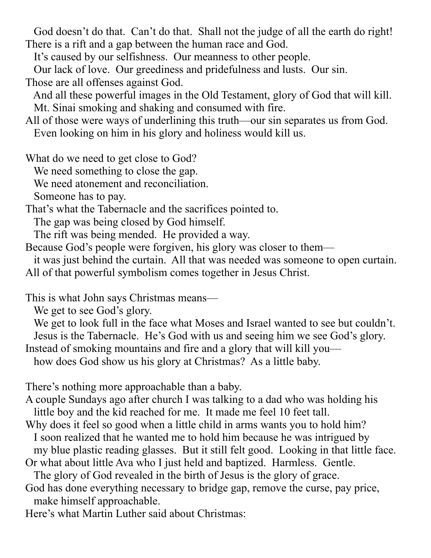God doesn't do that. Can't do that. Shall not the judge of all the earth do right! There is a rift and a gap between the human race and God.

It's caused by our selfishness. Our meanness to other people.

 Our lack of love. Our greediness and pridefulness and lusts. Our sin. Those are all offenses against God.

 And all these powerful images in the Old Testament, glory of God that will kill. Mt. Sinai smoking and shaking and consumed with fire.

All of those were ways of underlining this truth—our sin separates us from God. Even looking on him in his glory and holiness would kill us.

What do we need to get close to God?

We need something to close the gap.

We need atonement and reconciliation.

Someone has to pay.

That's what the Tabernacle and the sacrifices pointed to.

The gap was being closed by God himself.

The rift was being mended. He provided a way.

Because God's people were forgiven, his glory was closer to them—

it was just behind the curtain. All that was needed was someone to open curtain.

All of that powerful symbolism comes together in Jesus Christ.

This is what John says Christmas means—

We get to see God's glory.

 We get to look full in the face what Moses and Israel wanted to see but couldn't. Jesus is the Tabernacle. He's God with us and seeing him we see God's glory.

Instead of smoking mountains and fire and a glory that will kill you—

how does God show us his glory at Christmas? As a little baby.

There's nothing more approachable than a baby.

A couple Sundays ago after church I was talking to a dad who was holding his little boy and the kid reached for me. It made me feel 10 feet tall.

Why does it feel so good when a little child in arms wants you to hold him? I soon realized that he wanted me to hold him because he was intrigued by

 my blue plastic reading glasses. But it still felt good. Looking in that little face. Or what about little Ava who I just held and baptized. Harmless. Gentle.

The glory of God revealed in the birth of Jesus is the glory of grace.

God has done everything necessary to bridge gap, remove the curse, pay price, make himself approachable.

Here's what Martin Luther said about Christmas: